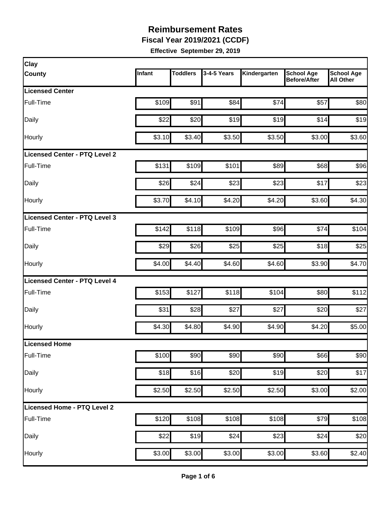**Fiscal Year 2019/2021 (CCDF)** 

| Clay                          |        |                 |             |              |                                          |                                       |
|-------------------------------|--------|-----------------|-------------|--------------|------------------------------------------|---------------------------------------|
| <b>County</b>                 | Infant | <b>Toddlers</b> | 3-4-5 Years | Kindergarten | <b>School Age</b><br><b>Before/After</b> | <b>School Age</b><br><b>All Other</b> |
| <b>Licensed Center</b>        |        |                 |             |              |                                          |                                       |
| Full-Time                     | \$109  | \$91            | \$84        | \$74         | \$57                                     | \$80                                  |
| Daily                         | \$22   | \$20            | \$19        | \$19         | \$14                                     | \$19                                  |
| Hourly                        | \$3.10 | \$3.40          | \$3.50      | \$3.50       | \$3.00                                   | \$3.60                                |
| Licensed Center - PTQ Level 2 |        |                 |             |              |                                          |                                       |
| Full-Time                     | \$131  | \$109           | \$101       | \$89         | \$68                                     | \$96                                  |
| Daily                         | \$26   | \$24            | \$23        | \$23         | \$17                                     | \$23                                  |
| Hourly                        | \$3.70 | \$4.10          | \$4.20      | \$4.20       | \$3.60                                   | \$4.30                                |
| Licensed Center - PTQ Level 3 |        |                 |             |              |                                          |                                       |
| Full-Time                     | \$142  | \$118           | \$109       | \$96         | \$74                                     | \$104                                 |
| Daily                         | \$29   | \$26            | \$25        | \$25         | \$18                                     | \$25                                  |
| Hourly                        | \$4.00 | \$4.40          | \$4.60      | \$4.60       | \$3.90                                   | \$4.70                                |
| Licensed Center - PTQ Level 4 |        |                 |             |              |                                          |                                       |
| Full-Time                     | \$153  | \$127           | \$118       | \$104        | \$80                                     | \$112                                 |
| Daily                         | \$31   | \$28            | \$27        | \$27         | \$20                                     | \$27                                  |
| Hourly                        | \$4.30 | \$4.80          | \$4.90      | \$4.90       | \$4.20                                   | \$5.00                                |
| <b>Licensed Home</b>          |        |                 |             |              |                                          |                                       |
| Full-Time                     | \$100  | \$90            | \$90        | \$90         | \$66                                     | \$90                                  |
| Daily                         | \$18   | \$16            | \$20        | \$19         | \$20                                     | \$17                                  |
| Hourly                        | \$2.50 | \$2.50          | \$2.50      | \$2.50       | \$3.00                                   | \$2.00                                |
| Licensed Home - PTQ Level 2   |        |                 |             |              |                                          |                                       |
| Full-Time                     | \$120  | \$108           | \$108       | \$108        | \$79                                     | \$108                                 |
| Daily                         | \$22   | \$19            | \$24        | \$23         | \$24                                     | \$20                                  |
| Hourly                        | \$3.00 | \$3.00          | \$3.00      | \$3.00       | \$3.60                                   | \$2.40                                |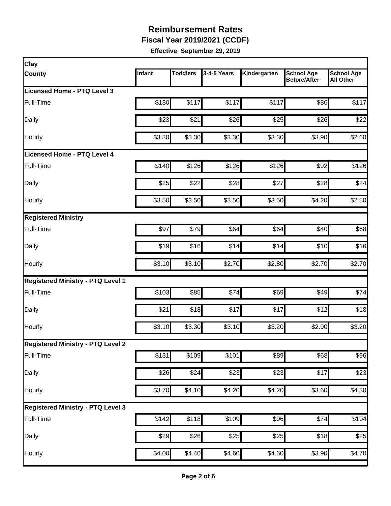**Fiscal Year 2019/2021 (CCDF)** 

| Infant | <b>Toddlers</b>         | 3-4-5 Years | Kindergarten                                                                                                              | <b>School Age</b><br><b>Before/After</b> | <b>School Age</b><br><b>All Other</b>                                                             |
|--------|-------------------------|-------------|---------------------------------------------------------------------------------------------------------------------------|------------------------------------------|---------------------------------------------------------------------------------------------------|
|        |                         |             |                                                                                                                           |                                          |                                                                                                   |
| \$130  | \$117                   | \$117       | \$117                                                                                                                     | \$86                                     | \$117                                                                                             |
| \$23   | \$21                    | \$26        |                                                                                                                           | \$26                                     | \$22                                                                                              |
| \$3.30 |                         | \$3.30      |                                                                                                                           | \$3.90                                   | \$2.60                                                                                            |
|        |                         |             |                                                                                                                           |                                          |                                                                                                   |
|        |                         | \$126       |                                                                                                                           | \$92                                     | \$126                                                                                             |
| \$25   | \$22                    | \$28        | \$27                                                                                                                      | \$28                                     | \$24                                                                                              |
| \$3.50 |                         | \$3.50      |                                                                                                                           | \$4.20                                   | \$2.80                                                                                            |
|        |                         |             |                                                                                                                           |                                          |                                                                                                   |
| \$97   |                         | \$64        | \$64                                                                                                                      | \$40                                     | \$68                                                                                              |
| \$19   |                         | \$14        | \$14                                                                                                                      | \$10                                     | \$16                                                                                              |
| \$3.10 |                         | \$2.70      |                                                                                                                           | \$2.70                                   | \$2.70                                                                                            |
|        |                         |             |                                                                                                                           |                                          |                                                                                                   |
| \$103  |                         | \$74        | \$69                                                                                                                      | \$49                                     | \$74                                                                                              |
| \$21   |                         | \$17        | \$17                                                                                                                      | \$12                                     | \$18                                                                                              |
|        |                         | \$3.10      |                                                                                                                           | \$2.90                                   | \$3.20                                                                                            |
|        |                         |             |                                                                                                                           |                                          |                                                                                                   |
| \$131  |                         | \$101       |                                                                                                                           | \$68                                     | \$96                                                                                              |
|        |                         |             |                                                                                                                           | \$17                                     | \$23                                                                                              |
| \$3.70 |                         | \$4.20      |                                                                                                                           |                                          | \$4.30                                                                                            |
|        |                         |             |                                                                                                                           |                                          |                                                                                                   |
| \$142  |                         | \$109       |                                                                                                                           | \$74                                     | \$104                                                                                             |
| \$29   |                         | \$25        | \$25                                                                                                                      | \$18                                     | \$25                                                                                              |
| \$4.00 | \$4.40                  | \$4.60      | $\overline{$4.60}$                                                                                                        | \$3.90                                   | \$4.70                                                                                            |
|        | \$140<br>\$3.10<br>\$26 |             | \$3.30<br>\$126<br>\$3.50<br>\$79<br>\$16<br>\$3.10<br>\$85<br>\$18<br>\$3.30<br>\$109<br>\$24<br>\$4.10<br>\$118<br>\$26 | $\overline{$}23$                         | \$25<br>\$3.30<br>\$126<br>\$3.50<br>\$2.80<br>\$3.20<br>\$89<br>\$23<br>\$4.20<br>\$3.60<br>\$96 |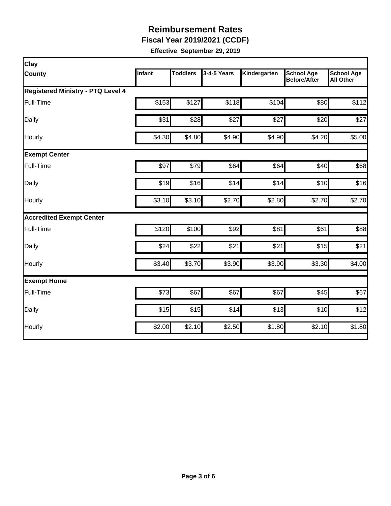**Fiscal Year 2019/2021 (CCDF)** 

| Clay                                     |        |                 |             |              |                                          |                                       |
|------------------------------------------|--------|-----------------|-------------|--------------|------------------------------------------|---------------------------------------|
| <b>County</b>                            | Infant | <b>Toddlers</b> | 3-4-5 Years | Kindergarten | <b>School Age</b><br><b>Before/After</b> | <b>School Age</b><br><b>All Other</b> |
| <b>Registered Ministry - PTQ Level 4</b> |        |                 |             |              |                                          |                                       |
| Full-Time                                | \$153  | \$127           | \$118       | \$104        | \$80                                     | \$112                                 |
| Daily                                    | \$31   | \$28            | \$27        | \$27         | \$20                                     | \$27                                  |
| Hourly                                   | \$4.30 | \$4.80          | \$4.90      | \$4.90       | \$4.20                                   | \$5.00                                |
| <b>Exempt Center</b>                     |        |                 |             |              |                                          |                                       |
| Full-Time                                | \$97   | \$79            | \$64        | \$64         | \$40                                     | \$68                                  |
| Daily                                    | \$19   | \$16            | \$14        | \$14         | \$10                                     | \$16                                  |
| Hourly                                   | \$3.10 | \$3.10          | \$2.70      | \$2.80       | \$2.70                                   | \$2.70                                |
| <b>Accredited Exempt Center</b>          |        |                 |             |              |                                          |                                       |
| <b>Full-Time</b>                         | \$120  | \$100           | \$92        | \$81         | \$61                                     | \$88                                  |
| Daily                                    | \$24   | \$22            | \$21        | \$21         | \$15                                     | \$21                                  |
| Hourly                                   | \$3.40 | \$3.70          | \$3.90      | \$3.90       | \$3.30                                   | \$4.00                                |
| <b>Exempt Home</b>                       |        |                 |             |              |                                          |                                       |
| Full-Time                                | \$73   | \$67            | \$67        | \$67         | \$45                                     | \$67                                  |
| Daily                                    | \$15   | \$15            | \$14        | \$13         | \$10                                     | \$12                                  |
| Hourly                                   | \$2.00 | \$2.10          | \$2.50      | \$1.80       | \$2.10                                   | \$1.80                                |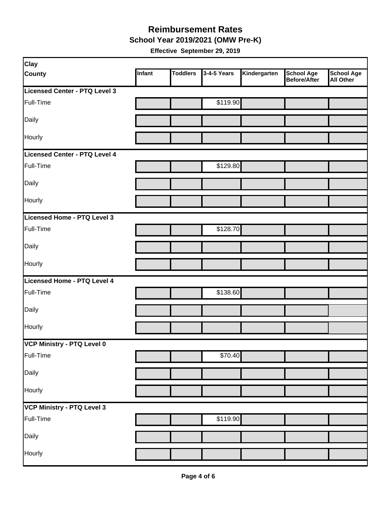**School Year 2019/2021 (OMW Pre-K)** 

| <b>Clay</b>                       |        |                 |             |              |                                   |                         |
|-----------------------------------|--------|-----------------|-------------|--------------|-----------------------------------|-------------------------|
| <b>County</b>                     | Infant | <b>Toddlers</b> | 3-4-5 Years | Kindergarten | <b>School Age</b><br>Before/After | School Age<br>All Other |
| Licensed Center - PTQ Level 3     |        |                 |             |              |                                   |                         |
| Full-Time                         |        |                 | \$119.90    |              |                                   |                         |
| Daily                             |        |                 |             |              |                                   |                         |
| Hourly                            |        |                 |             |              |                                   |                         |
| Licensed Center - PTQ Level 4     |        |                 |             |              |                                   |                         |
| Full-Time                         |        |                 | \$129.80    |              |                                   |                         |
| Daily                             |        |                 |             |              |                                   |                         |
| Hourly                            |        |                 |             |              |                                   |                         |
| Licensed Home - PTQ Level 3       |        |                 |             |              |                                   |                         |
| Full-Time                         |        |                 | \$128.70    |              |                                   |                         |
| Daily                             |        |                 |             |              |                                   |                         |
| Hourly                            |        |                 |             |              |                                   |                         |
| Licensed Home - PTQ Level 4       |        |                 |             |              |                                   |                         |
| Full-Time                         |        |                 | \$138.60    |              |                                   |                         |
| Daily                             |        |                 |             |              |                                   |                         |
| Hourly                            |        |                 |             |              |                                   |                         |
| VCP Ministry - PTQ Level 0        |        |                 |             |              |                                   |                         |
| Full-Time                         |        |                 | \$70.40     |              |                                   |                         |
| Daily                             |        |                 |             |              |                                   |                         |
| Hourly                            |        |                 |             |              |                                   |                         |
| <b>VCP Ministry - PTQ Level 3</b> |        |                 |             |              |                                   |                         |
| Full-Time                         |        |                 | \$119.90    |              |                                   |                         |
| Daily                             |        |                 |             |              |                                   |                         |
| Hourly                            |        |                 |             |              |                                   |                         |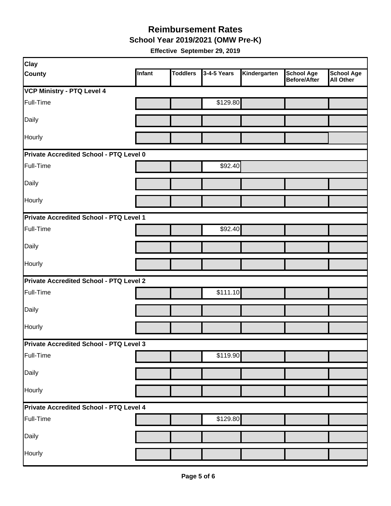**School Year 2019/2021 (OMW Pre-K)** 

| <b>Clay</b>                                    |        |                 |             |              |                                          |                                       |  |  |  |
|------------------------------------------------|--------|-----------------|-------------|--------------|------------------------------------------|---------------------------------------|--|--|--|
| <b>County</b>                                  | Infant | <b>Toddlers</b> | 3-4-5 Years | Kindergarten | <b>School Age</b><br><b>Before/After</b> | <b>School Age</b><br><b>All Other</b> |  |  |  |
| <b>VCP Ministry - PTQ Level 4</b>              |        |                 |             |              |                                          |                                       |  |  |  |
| Full-Time                                      |        |                 | \$129.80    |              |                                          |                                       |  |  |  |
| Daily                                          |        |                 |             |              |                                          |                                       |  |  |  |
| Hourly                                         |        |                 |             |              |                                          |                                       |  |  |  |
| Private Accredited School - PTQ Level 0        |        |                 |             |              |                                          |                                       |  |  |  |
| Full-Time                                      |        |                 | \$92.40     |              |                                          |                                       |  |  |  |
| Daily                                          |        |                 |             |              |                                          |                                       |  |  |  |
| Hourly                                         |        |                 |             |              |                                          |                                       |  |  |  |
| Private Accredited School - PTQ Level 1        |        |                 |             |              |                                          |                                       |  |  |  |
| Full-Time                                      |        |                 | \$92.40     |              |                                          |                                       |  |  |  |
| Daily                                          |        |                 |             |              |                                          |                                       |  |  |  |
| Hourly                                         |        |                 |             |              |                                          |                                       |  |  |  |
| <b>Private Accredited School - PTQ Level 2</b> |        |                 |             |              |                                          |                                       |  |  |  |
| Full-Time                                      |        |                 | \$111.10    |              |                                          |                                       |  |  |  |
| Daily                                          |        |                 |             |              |                                          |                                       |  |  |  |
| Hourly                                         |        |                 |             |              |                                          |                                       |  |  |  |
| Private Accredited School - PTQ Level 3        |        |                 |             |              |                                          |                                       |  |  |  |
| Full-Time                                      |        |                 | \$119.90    |              |                                          |                                       |  |  |  |
| Daily                                          |        |                 |             |              |                                          |                                       |  |  |  |
| Hourly                                         |        |                 |             |              |                                          |                                       |  |  |  |
| Private Accredited School - PTQ Level 4        |        |                 |             |              |                                          |                                       |  |  |  |
| Full-Time                                      |        |                 | \$129.80    |              |                                          |                                       |  |  |  |
| Daily                                          |        |                 |             |              |                                          |                                       |  |  |  |
| Hourly                                         |        |                 |             |              |                                          |                                       |  |  |  |